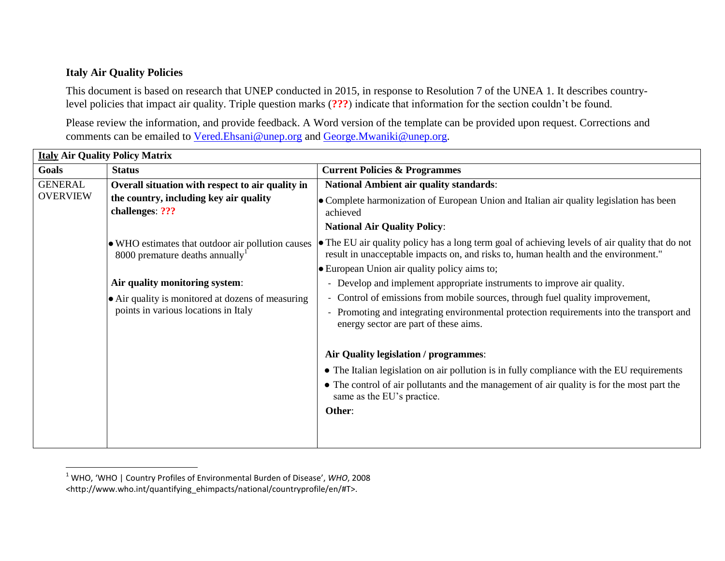## **Italy Air Quality Policies**

l

This document is based on research that UNEP conducted in 2015, in response to Resolution 7 of the UNEA 1. It describes countrylevel policies that impact air quality. Triple question marks (**???**) indicate that information for the section couldn't be found.

Please review the information, and provide feedback. A Word version of the template can be provided upon request. Corrections and comments can be emailed to [Vered.Ehsani@unep.org](mailto:Vered.Ehsani@unep.org) and [George.Mwaniki@unep.org.](mailto:George.Mwaniki@unep.org)

| <b>Italy Air Quality Policy Matrix</b> |                                                                                           |                                                                                                                                                                                        |  |  |
|----------------------------------------|-------------------------------------------------------------------------------------------|----------------------------------------------------------------------------------------------------------------------------------------------------------------------------------------|--|--|
| <b>Goals</b>                           | <b>Status</b>                                                                             | <b>Current Policies &amp; Programmes</b>                                                                                                                                               |  |  |
| <b>GENERAL</b>                         | Overall situation with respect to air quality in                                          | <b>National Ambient air quality standards:</b>                                                                                                                                         |  |  |
| <b>OVERVIEW</b>                        | the country, including key air quality<br>challenges: ???                                 | • Complete harmonization of European Union and Italian air quality legislation has been<br>achieved                                                                                    |  |  |
|                                        |                                                                                           | <b>National Air Quality Policy:</b>                                                                                                                                                    |  |  |
|                                        | • WHO estimates that outdoor air pollution causes<br>8000 premature deaths annually       | • The EU air quality policy has a long term goal of achieving levels of air quality that do not<br>result in unacceptable impacts on, and risks to, human health and the environment." |  |  |
|                                        |                                                                                           | • European Union air quality policy aims to;                                                                                                                                           |  |  |
|                                        | Air quality monitoring system:                                                            | - Develop and implement appropriate instruments to improve air quality.                                                                                                                |  |  |
|                                        | • Air quality is monitored at dozens of measuring<br>points in various locations in Italy | - Control of emissions from mobile sources, through fuel quality improvement,                                                                                                          |  |  |
|                                        |                                                                                           | - Promoting and integrating environmental protection requirements into the transport and<br>energy sector are part of these aims.                                                      |  |  |
|                                        |                                                                                           | Air Quality legislation / programmes:                                                                                                                                                  |  |  |
|                                        |                                                                                           | • The Italian legislation on air pollution is in fully compliance with the EU requirements                                                                                             |  |  |
|                                        |                                                                                           | • The control of air pollutants and the management of air quality is for the most part the<br>same as the EU's practice.                                                               |  |  |
|                                        |                                                                                           | Other:                                                                                                                                                                                 |  |  |
|                                        |                                                                                           |                                                                                                                                                                                        |  |  |
|                                        |                                                                                           |                                                                                                                                                                                        |  |  |

<sup>1</sup> WHO, 'WHO | Country Profiles of Environmental Burden of Disease', *WHO*, 2008 <http://www.who.int/quantifying\_ehimpacts/national/countryprofile/en/#T>.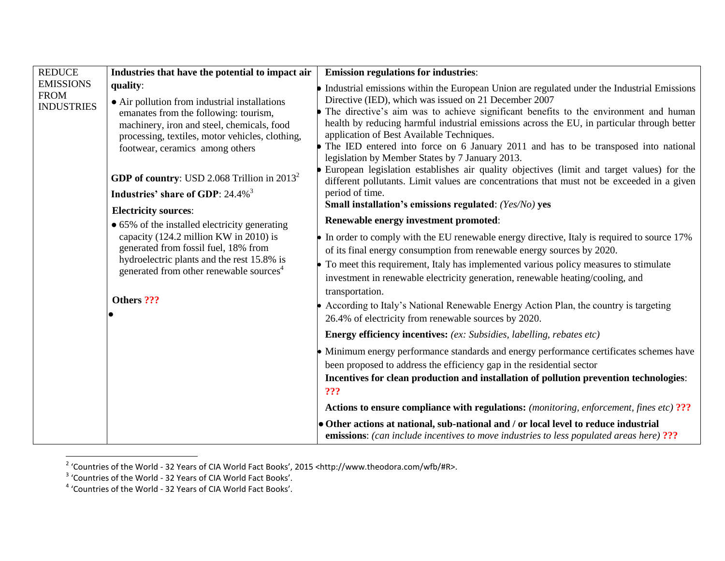| <b>REDUCE</b>                                        | Industries that have the potential to impact air                                                                                                                                                                                                                                                                                                                                                                                                                                                                                                                                                                                     | <b>Emission regulations for industries:</b>                                                                                                                                                                                                                                                                                                                                                                                                                                                                                                                                                                                                                                                                                                                                                                                                                                                                                                                                                                                                                                                                                                                                                                                                                                                                                                                                      |
|------------------------------------------------------|--------------------------------------------------------------------------------------------------------------------------------------------------------------------------------------------------------------------------------------------------------------------------------------------------------------------------------------------------------------------------------------------------------------------------------------------------------------------------------------------------------------------------------------------------------------------------------------------------------------------------------------|----------------------------------------------------------------------------------------------------------------------------------------------------------------------------------------------------------------------------------------------------------------------------------------------------------------------------------------------------------------------------------------------------------------------------------------------------------------------------------------------------------------------------------------------------------------------------------------------------------------------------------------------------------------------------------------------------------------------------------------------------------------------------------------------------------------------------------------------------------------------------------------------------------------------------------------------------------------------------------------------------------------------------------------------------------------------------------------------------------------------------------------------------------------------------------------------------------------------------------------------------------------------------------------------------------------------------------------------------------------------------------|
| <b>EMISSIONS</b><br><b>FROM</b><br><b>INDUSTRIES</b> | quality:<br>• Air pollution from industrial installations<br>emanates from the following: tourism,<br>machinery, iron and steel, chemicals, food<br>processing, textiles, motor vehicles, clothing,<br>footwear, ceramics among others<br><b>GDP of country:</b> USD 2.068 Trillion in $2013^2$<br>Industries' share of GDP: 24.4% <sup>3</sup><br><b>Electricity sources:</b><br>• 65% of the installed electricity generating<br>capacity (124.2 million KW in 2010) is<br>generated from fossil fuel, 18% from<br>hydroelectric plants and the rest 15.8% is<br>generated from other renewable sources <sup>4</sup><br>Others ??? | • Industrial emissions within the European Union are regulated under the Industrial Emissions<br>Directive (IED), which was issued on 21 December 2007<br>The directive's aim was to achieve significant benefits to the environment and human<br>health by reducing harmful industrial emissions across the EU, in particular through better<br>application of Best Available Techniques.<br>• The IED entered into force on 6 January 2011 and has to be transposed into national<br>legislation by Member States by 7 January 2013.<br>European legislation establishes air quality objectives (limit and target values) for the<br>different pollutants. Limit values are concentrations that must not be exceeded in a given<br>period of time.<br>Small installation's emissions regulated: (Yes/No) yes<br>Renewable energy investment promoted:<br>• In order to comply with the EU renewable energy directive, Italy is required to source 17%<br>of its final energy consumption from renewable energy sources by 2020.<br>• To meet this requirement, Italy has implemented various policy measures to stimulate<br>investment in renewable electricity generation, renewable heating/cooling, and<br>transportation.<br>According to Italy's National Renewable Energy Action Plan, the country is targeting<br>26.4% of electricity from renewable sources by 2020. |
|                                                      |                                                                                                                                                                                                                                                                                                                                                                                                                                                                                                                                                                                                                                      | <b>Energy efficiency incentives:</b> (ex: Subsidies, labelling, rebates etc)<br>• Minimum energy performance standards and energy performance certificates schemes have<br>been proposed to address the efficiency gap in the residential sector<br>Incentives for clean production and installation of pollution prevention technologies:<br>???<br>Actions to ensure compliance with regulations: (monitoring, enforcement, fines etc) ???<br>• Other actions at national, sub-national and / or local level to reduce industrial<br><b>emissions:</b> (can include incentives to move industries to less populated areas here) ???                                                                                                                                                                                                                                                                                                                                                                                                                                                                                                                                                                                                                                                                                                                                            |

<sup>&</sup>lt;sup>2</sup> 'Countries of the World - 32 Years of CIA World Fact Books', 2015 <http://www.theodora.com/wfb/#R>.<br><sup>3</sup> 'Countries of the World - 32 Years of CIA World Fact Books'.<br><sup>4</sup> 'Countries of the World - 32 Years of CIA World F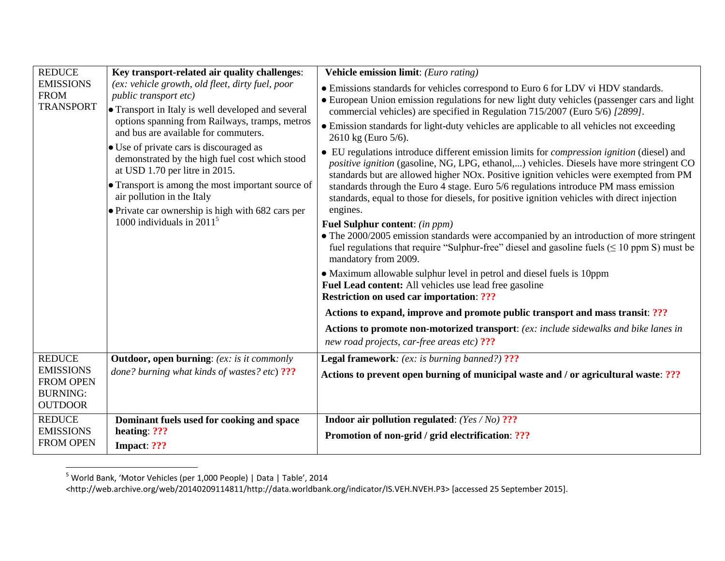| <b>REDUCE</b>                                                             | Key transport-related air quality challenges:                                                                                                                                                                             | Vehicle emission limit: (Euro rating)                                                                                                                                                                                                                                                   |
|---------------------------------------------------------------------------|---------------------------------------------------------------------------------------------------------------------------------------------------------------------------------------------------------------------------|-----------------------------------------------------------------------------------------------------------------------------------------------------------------------------------------------------------------------------------------------------------------------------------------|
| <b>EMISSIONS</b><br><b>FROM</b><br><b>TRANSPORT</b>                       | (ex: vehicle growth, old fleet, dirty fuel, poor<br>public transport etc)<br>• Transport in Italy is well developed and several<br>options spanning from Railways, tramps, metros<br>and bus are available for commuters. | • Emissions standards for vehicles correspond to Euro 6 for LDV vi HDV standards.<br>• European Union emission regulations for new light duty vehicles (passenger cars and light<br>commercial vehicles) are specified in Regulation 715/2007 (Euro 5/6) [2899].                        |
|                                                                           |                                                                                                                                                                                                                           | • Emission standards for light-duty vehicles are applicable to all vehicles not exceeding<br>2610 kg (Euro 5/6).                                                                                                                                                                        |
|                                                                           | • Use of private cars is discouraged as<br>demonstrated by the high fuel cost which stood<br>at USD 1.70 per litre in 2015.                                                                                               | • EU regulations introduce different emission limits for <i>compression ignition</i> (diesel) and<br>positive ignition (gasoline, NG, LPG, ethanol,) vehicles. Diesels have more stringent CO<br>standards but are allowed higher NOx. Positive ignition vehicles were exempted from PM |
|                                                                           | • Transport is among the most important source of<br>air pollution in the Italy                                                                                                                                           | standards through the Euro 4 stage. Euro 5/6 regulations introduce PM mass emission<br>standards, equal to those for diesels, for positive ignition vehicles with direct injection                                                                                                      |
|                                                                           | • Private car ownership is high with 682 cars per<br>1000 individuals in $20115$                                                                                                                                          | engines.                                                                                                                                                                                                                                                                                |
|                                                                           |                                                                                                                                                                                                                           | <b>Fuel Sulphur content:</b> (in ppm)<br>• The 2000/2005 emission standards were accompanied by an introduction of more stringent<br>fuel regulations that require "Sulphur-free" diesel and gasoline fuels $( \leq 10$ ppm S) must be<br>mandatory from 2009.                          |
|                                                                           |                                                                                                                                                                                                                           | • Maximum allowable sulphur level in petrol and diesel fuels is 10ppm<br>Fuel Lead content: All vehicles use lead free gasoline<br><b>Restriction on used car importation: ???</b>                                                                                                      |
|                                                                           |                                                                                                                                                                                                                           | Actions to expand, improve and promote public transport and mass transit: ???                                                                                                                                                                                                           |
|                                                                           |                                                                                                                                                                                                                           | Actions to promote non-motorized transport: (ex: include sidewalks and bike lanes in<br>new road projects, car-free areas etc) ???                                                                                                                                                      |
| <b>REDUCE</b>                                                             | <b>Outdoor, open burning:</b> (ex: is it commonly                                                                                                                                                                         | <b>Legal framework:</b> (ex: is burning banned?) ???                                                                                                                                                                                                                                    |
| <b>EMISSIONS</b><br><b>FROM OPEN</b><br><b>BURNING:</b><br><b>OUTDOOR</b> | done? burning what kinds of wastes? etc) ???                                                                                                                                                                              | Actions to prevent open burning of municipal waste and / or agricultural waste: ???                                                                                                                                                                                                     |
| <b>REDUCE</b>                                                             | Dominant fuels used for cooking and space                                                                                                                                                                                 | <b>Indoor air pollution regulated:</b> (Yes / No) ???                                                                                                                                                                                                                                   |
| <b>EMISSIONS</b><br><b>FROM OPEN</b>                                      | heating: ???<br>Impact: ???                                                                                                                                                                                               | Promotion of non-grid / grid electrification: ???                                                                                                                                                                                                                                       |

 $^5$  World Bank, 'Motor Vehicles (per 1,000 People) | Data | Table', 2014

l

<sup>&</sup>lt;http://web.archive.org/web/20140209114811/http://data.worldbank.org/indicator/IS.VEH.NVEH.P3> [accessed 25 September 2015].